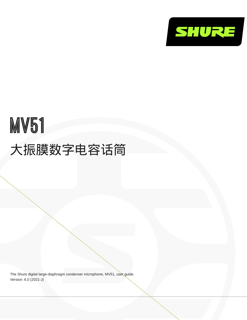

# MV51 大振膜数字电容话筒

The Shure digital large-diaphragm condenser microphone, MV51, user guide. Version: 6.0 (2021-J)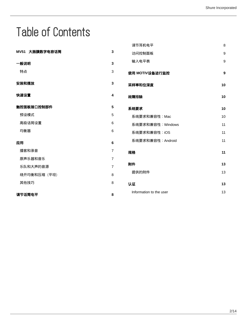## Table of Contents

|                |                         | 调节耳机电平                  | 8  |
|----------------|-------------------------|-------------------------|----|
| MV51 大振膜数字电容话筒 | 3                       | 访问控制面板                  | 9  |
| 一般说明           | $\overline{\mathbf{3}}$ | 输入电平表                   | 9  |
| 特点             | 3                       | 使用 MOTIV设备进行监控          | 9  |
| 安装和摆放          | 3                       | 采样率和位深度                 | 10 |
| 快速设置           | 4                       | 故障排除                    | 10 |
| 触控面板接口控制部件     | 5                       | 系统要求                    | 10 |
| 预设模式           | 5                       | 系统要求和兼容性: Mac           | 10 |
| 高级话筒设置         | 6                       | 系统要求和兼容性: Windows       | 11 |
| 均衡器            | 6                       | 系统要求和兼容性: iOS           | 11 |
| 应用             | 6                       | 系统要求和兼容性: Android       | 11 |
| 播客和录音          | $\overline{7}$          | 规格                      | 11 |
| 原声乐器和音乐        | $\overline{7}$          |                         |    |
| 乐队和大声的音源       | $\overline{7}$          | 附件                      | 13 |
| 绕开均衡和压缩 (平坦)   | 8                       | 提供的附件                   | 13 |
| 其他技巧           | 8                       | 认证                      | 13 |
| 调节话筒电平         | 8                       | Information to the user | 13 |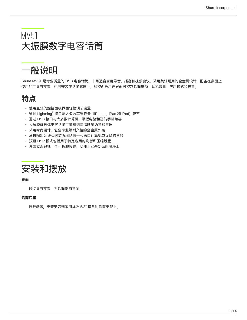## <span id="page-2-0"></span>MV51 大振膜数字电容话筒

## <span id="page-2-1"></span>一般说明

Shure MV51 是专业质量的 USB 电容话筒,非常适合家庭录音、播客和视频会议。采用美观耐用的全金属设计,配备在桌面上 使用的可调节支架,也可安装在话筒底座上。触控面板用户界面可控制话筒增益、耳机音量、应用模式和静音。

### <span id="page-2-2"></span>特点

- 使用直观的触控面板界面轻松调节设置
- 通过 Lightning<sup>®</sup> 接口与大多数苹果设备(iPhone、iPad 和 iPod)兼容
- 通过 USB 接口与大多数计算机、平板电脑和智能手机兼容
- 大振膜驻极体电容话筒可捕获到高清晰度语音和音乐
- 采用时尚设计,包含专业级耐久性的全金属外壳
- 耳机输出允许实时监听现场信号和来自计算机或设备的音频
- 预设 DSP 模式包括用于特定应用的均衡和压缩设置
- 桌面支架包括一个可拆卸尖端,以便于安装到话筒底座上:

<span id="page-2-3"></span>

#### 桌面

通过调节支架,将话筒指向音源。

#### 话筒底座

拧开端盖,支架安装到采用标准 5/8" 接头的话筒支架上。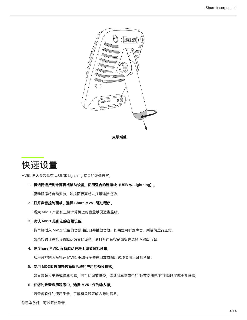

## <span id="page-3-0"></span>快速设置

MV51 与大多数具有 USB 或 Lightning 接口的设备兼容。

#### 1. 将话筒连接到计算机或移动设备。使用适合的连接线(**USB** 或 **Lightning**)。

驱动程序将自动安装。触控面板亮起以指示连接成功。

2. 打开声音控制面板。选择 **Shure MV51** 驱动程序。

增大 MV51 产品和主机计算机上的音量以便适当监听。

3. 确认 **MV51** 是所选的音频设备。

将耳机插入 MV51 设备的音频输出口并播放音轨。如果您可听到声音,则话筒运行正常。 如果您的计算机设置默认为其他设备,请打开声音控制面板并选择 MV51 设备。

4. 在 **Shure MV51** 设备驱动程序上调节耳机音量。

从声音控制面板打开 MV51 驱动程序并在回放或输出选项卡增大耳机音量。

5. 使用 **MODE** 按钮来选择适合您的应用的预设模式。

如果音频太安静或造成失真,可手动调节增益。请参阅本指南中的"调节话筒电平"主题以了解更多详情。

#### 6. 在您的录音应用程序中,选择 **MV51** 作为输入源。

请查阅软件的使用手册,了解有关设定输入源的信息。

您已准备好,可以开始录音。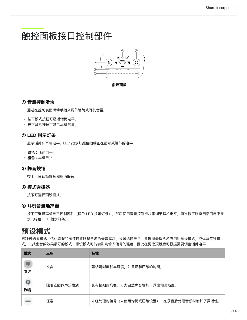## <span id="page-4-0"></span>触控面板接口控制部件



触控面板

### ① 音量控制滑块

通过在控制表面滑动手指来调节话筒或耳机音量。

◦ 按下模式按钮可激活话筒电平。

◦ 按下耳机按钮可激活耳机音量。

### ② **LED** 指示灯条

显示话筒和耳机电平。LED 指示灯颜色指明正在显示或调节的电平。

- 。 **绿色:**话筒电平
- 橙色:耳机电平

### ③ 静音按钮

按下可使话筒静音和取消静音。

#### ④ 模式选择器

按下可选择预设模式。

### ⑤ 耳机音量选择器

按下可选择耳机电平控制部件(橙色 LED 指示灯条)。然后使用音量控制滑块来调节耳机电平。再次按下以返回话筒电平显 示(绿色 LED 指示灯条)。

### <span id="page-4-1"></span>预设模式

五种可选择模式,优化均衡和压缩设置以符合您的录音需求。设置话筒电平,并选择最适合您应用的预设模式。或体验每种模 式, 以找出音频效果最好的模式。预设模式可能会影响输入信号的强度, 因此在更改预设后可根据需要调整话筒电平。

| 模式      | 应用        | 特性                                   |
|---------|-----------|--------------------------------------|
| 7<br>演讲 | 发言        | 强调清晰度和丰满度,并且温和压缩的均衡。                 |
| φ<br>歌唱 | 独唱或团体声乐表演 | 具有精细的均衡,可为自然声音增加丰满度和清晰度。             |
|         | 任意        | 未经处理的信号(未使用均衡或压缩设置)。在录音后处理音频时增加了灵活性。 |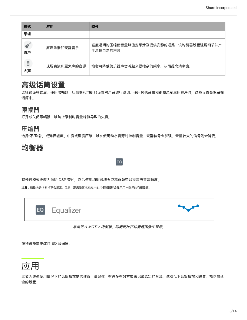| 模式      | 应用          | 特性                                                |
|---------|-------------|---------------------------------------------------|
| 平坦      |             |                                                   |
| 原声      | 原声乐器和安静音乐   | 轻度透明的压缩使音量峰值变平滑及提供安静的通路。该均衡器设置强调细节并产<br>生总体自然的声音。 |
| B<br>大声 | 现场表演和更大声的音源 | 均衡可降低使乐器声音听起来很嘈杂的频率,从而提高清晰度。                      |

### <span id="page-5-0"></span>高级话筒设置

选择预设模式后,使用限幅器、压缩器和均衡器设置对声音进行微调。使用其他音频和视频录制应用程序时,这些设置会保留在 话筒中。

### 限幅器

打开或关闭限幅器,以防止录制时音量峰值导致的失真。

### 压缩器

选择"不压缩",或选择轻度、中度或重度压缩,以在使用动态音源时控制音量。安静信号会加强,音量较大的信号则会降低。

EQ

<span id="page-5-1"></span>

将预设模式更改为倾听 DSP 变化,然后使用均衡器增强或减弱频带以提高声音清晰度。

注意:预设内的均衡将不会显示。但是,高级设置状态栏中的均衡器图形会显示用户选择的均衡设置。



#### 单击进入 *MOTIV* 均衡器。均衡更改在均衡器图像中显示。

在预设模式更改时 EQ 会保留。

<span id="page-5-2"></span>

此节为典型使用情况下的话筒摆放提供建议。请记住,有许多有效方式来记录给定的音源。试验以下话筒摆放和设置,找到最适 合的设置。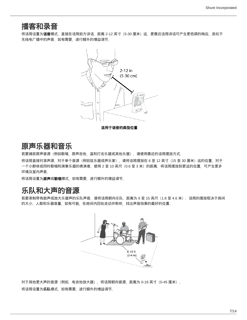### <span id="page-6-0"></span>播客和录音

将话筒设置为**语音**模式。直接在话筒前方讲话,距离 2-12 英寸(5-30 厘米)远。更靠近话筒讲话可产生更低频的响应,类似于 无线电广播中的声音。如有需要,进行额外的增益调节。



<span id="page-6-1"></span>原声乐器和音乐

若要捕获原声音源(例如歌唱、原声吉他、温和打击乐器或其他乐器),请使用靠近的话筒摆放方式。

将话筒直接对准声源、对于单个音源(例如弦乐器或声乐家),请将话筒摆放在 6 至 12 英寸(15 至 30 厘米)远的位置。对于 一个小群体或同时歌唱和演奏乐器的表演者,使用 2 至 10 英尺 (0.6 至 3 米) 的距离。将话筒摆放到更远的位置, 可产生更多 环境及室内声音。

将话筒设置为**原声**或歌唱模式, 如有需要, 进行额外的增益调节。

### <span id="page-6-2"></span>乐队和大声的音源

若要录制带有鼓声或放大乐器声的乐队声音,请将话筒朝向乐队,距离为 6 至 15 英尺(1.8 至 4.6 米)。话筒的摆放取决于房间 的大小、人数和乐器音量。如有可能,在房间内四处走动并聆听,找出声音效果的最好的位置。



对于其他更大声的音源(例如,电吉他放大器),将话筒朝向音源,距离为 0-18 英寸(0-45 厘米)。 将话筒设置为乐队模式,如有需要,进行额外的增益调节。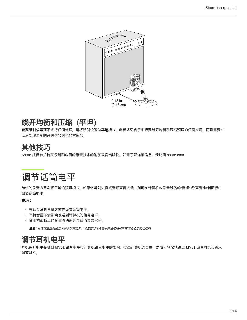

## <span id="page-7-0"></span>绕开均衡和压缩(平坦)

若要录制信号而不进行任何处理,清将话筒设置为**平坦**模式。此模式适合于您想要绕开均衡和压缩预设的任何应用,而且需要在 以后处理录制的音频信号时也非常适合。

## <span id="page-7-1"></span>其他技巧

Shure 提供有关特定乐器和应用的录音技术的附加教育出版物。如需了解详细信息,请访问 shure.com。

## <span id="page-7-2"></span>调节话筒电平

为您的录音应用选择正确的预设模式。如果您听到失真或音频声音太低,则可在计算机或录音设备的"音频"或"声音"控制面板中 调节话筒电平。

### 技巧:

- 在调节耳机音量之前先设置话筒电平。
- 耳机音量不会影响发送到计算机的信号电平<sub>。</sub>
- 使用前面板上的音量滑块来调节话筒增益水平。

注意:话筒增益控制独立于预设模式之外。设置您的话筒电平并通过预设模式试验动态处理选项。

### <span id="page-7-3"></span>调节耳机电平

耳机监听电平会受到 MV51 设备电平和计算机设置电平的影响。提高计算机的音量,然后可轻松地通过 MV51 设备耳机设置来 调节耳机。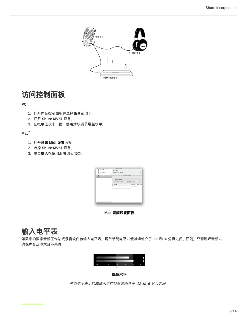

### <span id="page-8-0"></span>访问控制面板

#### **PC**

- 1.打开声音控制面板并选择**录音**选项卡<sub>。</sub>
- 2. 打开 **Shure MV51** 设备。
- 3.在**电平**选项卡下面,使用滑块调节增益水平。

#### **Mac ®**

- 1. 打开音频 **Midi** 设置面板。
- 2. 选择 **Shure MV51** 设备。
- 3.单击**输入**以使用滑块调节增益<sub>。</sub>



**Mac** 音频设置面板

## <span id="page-8-1"></span>输入电平表

如果您的数字音频工作站或录音软件有输入电平表,调节话筒电平以使其峰值介于 -12 和 -6 分贝之间。否则,只需聆听音频以 确保声音足够大且不失真。



峰值水平

<span id="page-8-2"></span>典型电平表上的峰值水平的目标范围介于 *-12* 和 *-6* 分贝之间。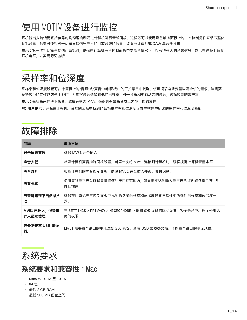## 使用 MOTIV设备进行监控

耳机输出支持话筒直接信号的均匀混合和通过计算机进行音频回放。这样您可以使用设备触控面板上的一个控制元件来调节整体 耳机音量。若要改变相对于话筒直接信号电平的回放音频的音量,请调节计算机或 DAW 混音器设置。

提示:第一次将话筒连接到计算机时,确保在计算机声音控制面板中提高音量水平,以获得强大的音频信号。然后在设备上调节 耳机电平,以实现舒适监听。

## <span id="page-9-0"></span>采样率和位深度

采样率和位深度设置可在计算机上的"音频"或"声音"控制面板中的下拉菜单中找到。您可调节这些变量以适合您的需求。当需要 获得较小的文件以方便下载时,为播客录音选择较低的采样率。对于音乐和更有活力的录音,选择较高的采样率。

**提示**:在较高采样率下录音,然后转换为 M4A,获得具有最高音质且大小可控的文件。

**PC** 用户提示:确保在计算机声音控制面板中找到的话筒采样率和位深度设置与软件中所选的采样率和位深度匹配。

## <span id="page-9-1"></span>故障排除

| 问题                      | 解决方法                                                                   |  |
|-------------------------|------------------------------------------------------------------------|--|
| 显示屏未亮起                  | 确保 MV51 完全插入。                                                          |  |
| 声音太低                    | 检查计算机声音控制面板设置。当第一次将 MV51 连接到计算机时,确保提高计算机音量水平。                          |  |
| 声音难听                    | 检查计算机的声音控制面板,确保 MV51 完全插入并被计算机识别。                                      |  |
| 声音失真                    | 使用音频电平表以确保音量峰值处于目标范围内。如果电平达到输入电平表的红色峰值指示符,则<br>降低增益。                   |  |
| 声音听起来不自然或抖<br>动         | 确保在计算机声音控制面板中找到的话筒采样率和位深度设置与软件中所选的采样率和位深度一<br>致。                       |  |
| MV51 已插入,但音量<br>计未显示信号。 | 在 SETTINGS > PRIVACY > MICROPHONE 下编辑 iOS 设备的隐私设置,授予录音应用程序使用话<br>筒的权限。 |  |
| 设备不兼容 USB 集线<br>器。      | MV51 需要每个端口的电流达到 250 毫安。查看 USB 集线器文档,了解每个端口的电流规格。                      |  |

<span id="page-9-2"></span>

### <span id="page-9-3"></span>系统要求和兼容性:Mac

- MacOS 10.13 至 10.15
- 64 位
- 最低 2 GB RAM
- 最低 500 MB 硬盘空间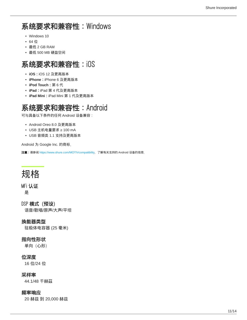## <span id="page-10-0"></span>系统要求和兼容性:Windows

- Windows 10
- 64 位
- 最低 2 GB RAM
- 最低 500 MB 硬盘空间

### <span id="page-10-1"></span>系统要求和兼容性:iOS

- **iOS**:iOS 12 及更高版本
- **iPhone**:iPhone 6 及更高版本
- **iPod Touch**:第 6 代
- **iPad**:iPad 第 4 代及更高版本
- **iPad Mini**:iPad Mini 第 1 代及更高版本

## <span id="page-10-2"></span>系统要求和兼容性:Android

可与具备以下条件的任何 Android 设备兼容:

- Android Oreo 8.0 及更高版本
- USB 主机电量要求 ≥ 100 mA
- USB 音频类 1.1 支持及更高版本

Android 为 Google Inc. 的商标。

注意:请参阅 <https://www.shure.com/MOTIVcompatibility>, 了解有关支持的 Android 设备的信息。

## <span id="page-10-3"></span>规格

### MFi 认证

是

DSP 模式 (预设) 语音/歌唱/原声/大声/平坦

### 换能器类型

驻极体电容器 (25 毫米)

### 指向性形状

单向(心形)

### 位深度

16 位/24 位

### 采样率

44.1/48 千赫茲

#### 频率响应

20 赫兹 到 20,000 赫兹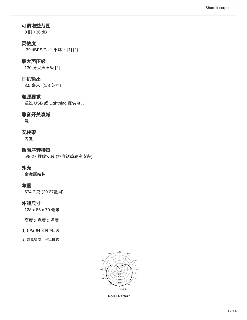### 可调增益范围

0 到 +36 dB

### 灵敏度

-39 dBFS/Pa 1 千赫下 [1] [2}

### 最大声压级

130 分贝声压级 [2]

### 耳机输出

3.5 毫米(1/8 英寸)

### 电源要求

通过 USB 或 Lightning 提供电力

### 静音开关衰减

是

### 安装架

内置

话筒座转接器 5/8-27 螺纹安装 (标准话筒底座安装)

### 外壳

全金属结构

### 净重

574.7 克 (20.27盎司)

### 外观尺寸

128 x 86 x 70 毫米

#### 高度 x 宽度 x 深度

- [1] 1 Pa=94 分贝声压级
- [2] 最低增益、平坦模式



**Polar Pattern**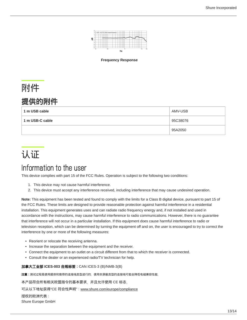

**Frequency Response**

# <span id="page-12-0"></span>附件

### <span id="page-12-1"></span>提供的附件

| 1 m USB cable   | AMV-USB  |
|-----------------|----------|
| 1 m USB-C cable | 95C38076 |
|                 | 95A2050  |

## <span id="page-12-2"></span>认证

## <span id="page-12-3"></span>Information to the user

This device complies with part 15 of the FCC Rules. Operation is subject to the following two conditions:

- 1. This device may not cause harmful interference.
- 2. This device must accept any interference received, including interference that may cause undesired operation.

**Note:** This equipment has been tested and found to comply with the limits for a Class B digital device, pursuant to part 15 of the FCC Rules. These limits are designed to provide reasonable protection against harmful interference in a residential installation. This equipment generates uses and can radiate radio frequency energy and, if not installed and used in accordance with the instructions, may cause harmful interference to radio communications. However, there is no guarantee that interference will not occur in a particular installation. If this equipment does cause harmful interference to radio or television reception, which can be determined by turning the equipment off and on, the user is encouraged to try to correct the interference by one or more of the following measures:

- Reorient or relocate the receiving antenna.
- Increase the separation between the equipment and the receiver.
- Connect the equipment to an outlet on a circuit different from that to which the receiver is connected.
- Consult the dealer or an experienced radio/TV technician for help.

加拿大工业部 **ICES-003** 合规标签:CAN ICES-3 (B)/NMB-3(B)

注意:测试过程是使用提供和推荐的连接线类型进行的。使用非屏蔽类型的连接线可能会降低电磁兼容性能。

本产品符合所有相关欧盟指令的基本要求,并且允许使用 CE 标志。

可从以下地址获得"CE 符合性声明": www.shure.com/europe/compliance

授权的欧洲代表:

Shure Europe GmbH